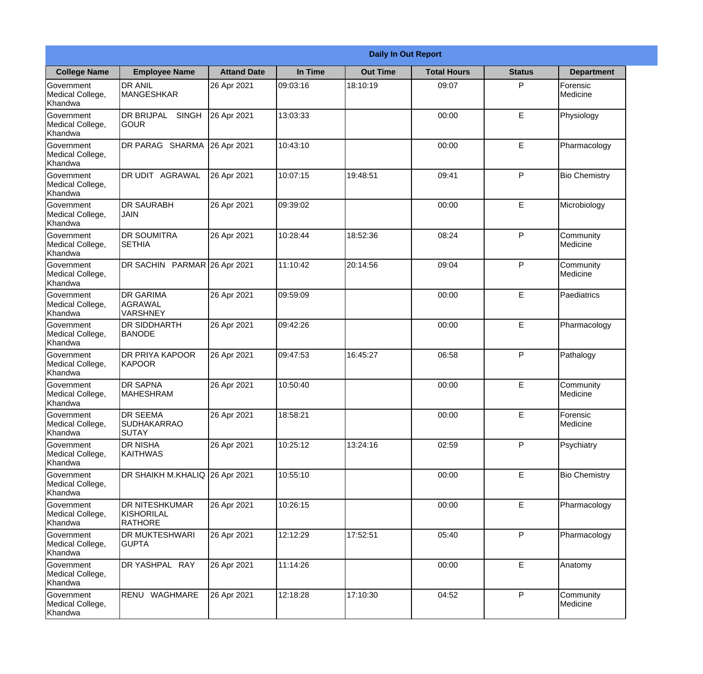|                                           | <b>Daily In Out Report</b>                            |                    |          |                 |                    |               |                       |
|-------------------------------------------|-------------------------------------------------------|--------------------|----------|-----------------|--------------------|---------------|-----------------------|
| <b>College Name</b>                       | <b>Employee Name</b>                                  | <b>Attand Date</b> | In Time  | <b>Out Time</b> | <b>Total Hours</b> | <b>Status</b> | <b>Department</b>     |
| Government<br>Medical College,<br>Khandwa | <b>DR ANIL</b><br>MANGESHKAR                          | 26 Apr 2021        | 09:03:16 | 18:10:19        | 09:07              | P             | Forensic<br>Medicine  |
| Government<br>Medical College,<br>Khandwa | DR BRIJPAL<br><b>SINGH</b><br><b>GOUR</b>             | 26 Apr 2021        | 13:03:33 |                 | 00:00              | E             | Physiology            |
| Government<br>Medical College,<br>Khandwa | DR PARAG SHARMA                                       | 26 Apr 2021        | 10:43:10 |                 | 00:00              | E             | Pharmacology          |
| Government<br>Medical College,<br>Khandwa | DR UDIT AGRAWAL                                       | 26 Apr 2021        | 10:07:15 | 19:48:51        | 09:41              | P             | <b>Bio Chemistry</b>  |
| Government<br>Medical College,<br>Khandwa | <b>DR SAURABH</b><br>JAIN                             | 26 Apr 2021        | 09:39:02 |                 | 00:00              | E             | Microbiology          |
| Government<br>Medical College,<br>Khandwa | <b>DR SOUMITRA</b><br><b>SETHIA</b>                   | 26 Apr 2021        | 10:28:44 | 18:52:36        | 08:24              | P             | Community<br>Medicine |
| Government<br>Medical College,<br>Khandwa | DR SACHIN PARMAR 26 Apr 2021                          |                    | 11:10:42 | 20:14:56        | 09:04              | P             | Community<br>Medicine |
| Government<br>Medical College,<br>Khandwa | <b>DR GARIMA</b><br>AGRAWAL<br><b>VARSHNEY</b>        | 26 Apr 2021        | 09:59:09 |                 | 00:00              | E             | Paediatrics           |
| Government<br>Medical College,<br>Khandwa | <b>DR SIDDHARTH</b><br><b>BANODE</b>                  | 26 Apr 2021        | 09:42:26 |                 | 00:00              | E             | Pharmacology          |
| Government<br>Medical College,<br>Khandwa | DR PRIYA KAPOOR<br>KAPOOR                             | 26 Apr 2021        | 09:47:53 | 16:45:27        | 06:58              | P             | Pathalogy             |
| Government<br>Medical College,<br>Khandwa | <b>DR SAPNA</b><br> MAHESHRAM                         | 26 Apr 2021        | 10:50:40 |                 | 00:00              | E             | Community<br>Medicine |
| Government<br>Medical College,<br>Khandwa | <b>DR SEEMA</b><br><b>SUDHAKARRAO</b><br><b>SUTAY</b> | 26 Apr 2021        | 18:58:21 |                 | 00:00              | E             | Forensic<br>Medicine  |
| Government<br>Medical College,<br>Khandwa | DR NISHA<br><b>KAITHWAS</b>                           | 26 Apr 2021        | 10:25:12 | 13:24:16        | 02:59              | P             | Psychiatry            |
| Government<br>Medical College,<br>Khandwa | DR SHAIKH M.KHALIQ 26 Apr 2021                        |                    | 10:55:10 |                 | 00:00              | $\mathsf E$   | <b>Bio Chemistry</b>  |
| Government<br>Medical College,<br>Khandwa | DR NITESHKUMAR<br>KISHORILAL<br><b>RATHORE</b>        | 26 Apr 2021        | 10:26:15 |                 | 00:00              | $\mathsf E$   | Pharmacology          |
| Government<br>Medical College,<br>Khandwa | DR MUKTESHWARI<br><b>GUPTA</b>                        | 26 Apr 2021        | 12:12:29 | 17:52:51        | 05:40              | P             | Pharmacology          |
| Government<br>Medical College,<br>Khandwa | DR YASHPAL RAY                                        | 26 Apr 2021        | 11:14:26 |                 | 00:00              | E             | Anatomy               |
| Government<br>Medical College,<br>Khandwa | RENU WAGHMARE                                         | 26 Apr 2021        | 12:18:28 | 17:10:30        | 04:52              | P             | Community<br>Medicine |